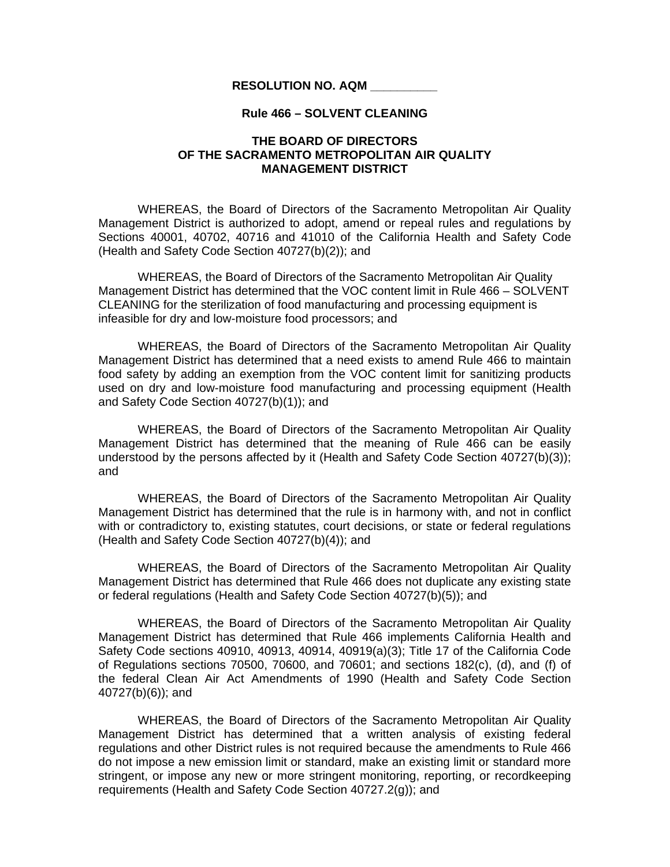## **RESOLUTION NO. AQM \_\_\_\_\_\_\_\_\_\_**

## **Rule 466 – SOLVENT CLEANING**

## **THE BOARD OF DIRECTORS OF THE SACRAMENTO METROPOLITAN AIR QUALITY MANAGEMENT DISTRICT**

 WHEREAS, the Board of Directors of the Sacramento Metropolitan Air Quality Management District is authorized to adopt, amend or repeal rules and regulations by Sections 40001, 40702, 40716 and 41010 of the California Health and Safety Code (Health and Safety Code Section 40727(b)(2)); and

WHEREAS, the Board of Directors of the Sacramento Metropolitan Air Quality Management District has determined that the VOC content limit in Rule 466 – SOLVENT CLEANING for the sterilization of food manufacturing and processing equipment is infeasible for dry and low-moisture food processors; and

 WHEREAS, the Board of Directors of the Sacramento Metropolitan Air Quality Management District has determined that a need exists to amend Rule 466 to maintain food safety by adding an exemption from the VOC content limit for sanitizing products used on dry and low-moisture food manufacturing and processing equipment (Health and Safety Code Section 40727(b)(1)); and

 WHEREAS, the Board of Directors of the Sacramento Metropolitan Air Quality Management District has determined that the meaning of Rule 466 can be easily understood by the persons affected by it (Health and Safety Code Section 40727(b)(3)); and

 WHEREAS, the Board of Directors of the Sacramento Metropolitan Air Quality Management District has determined that the rule is in harmony with, and not in conflict with or contradictory to, existing statutes, court decisions, or state or federal regulations (Health and Safety Code Section 40727(b)(4)); and

 WHEREAS, the Board of Directors of the Sacramento Metropolitan Air Quality Management District has determined that Rule 466 does not duplicate any existing state or federal regulations (Health and Safety Code Section 40727(b)(5)); and

 WHEREAS, the Board of Directors of the Sacramento Metropolitan Air Quality Management District has determined that Rule 466 implements California Health and Safety Code sections 40910, 40913, 40914, 40919(a)(3); Title 17 of the California Code of Regulations sections 70500, 70600, and 70601; and sections 182(c), (d), and (f) of the federal Clean Air Act Amendments of 1990 (Health and Safety Code Section 40727(b)(6)); and

WHEREAS, the Board of Directors of the Sacramento Metropolitan Air Quality Management District has determined that a written analysis of existing federal regulations and other District rules is not required because the amendments to Rule 466 do not impose a new emission limit or standard, make an existing limit or standard more stringent, or impose any new or more stringent monitoring, reporting, or recordkeeping requirements (Health and Safety Code Section 40727.2(g)); and